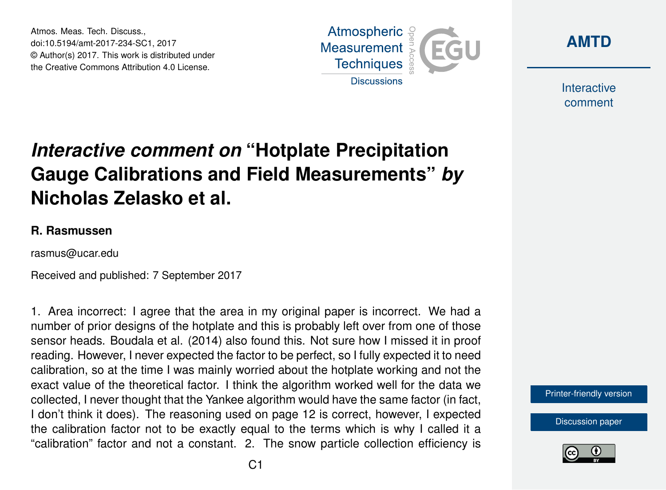Atmos. Meas. Tech. Discuss., doi:10.5194/amt-2017-234-SC1, 2017 © Author(s) 2017. This work is distributed under the Creative Commons Attribution 4.0 License.





Interactive comment

## *Interactive comment on* **"Hotplate Precipitation Gauge Calibrations and Field Measurements"** *by* **Nicholas Zelasko et al.**

## **R. Rasmussen**

rasmus@ucar.edu

Received and published: 7 September 2017

1. Area incorrect: I agree that the area in my original paper is incorrect. We had a number of prior designs of the hotplate and this is probably left over from one of those sensor heads. Boudala et al. (2014) also found this. Not sure how I missed it in proof reading. However, I never expected the factor to be perfect, so I fully expected it to need calibration, so at the time I was mainly worried about the hotplate working and not the exact value of the theoretical factor. I think the algorithm worked well for the data we collected, I never thought that the Yankee algorithm would have the same factor (in fact, I don't think it does). The reasoning used on page 12 is correct, however, I expected the calibration factor not to be exactly equal to the terms which is why I called it a "calibration" factor and not a constant. 2. The snow particle collection efficiency is



[Discussion paper](https://www.atmos-meas-tech-discuss.net/amt-2017-234)

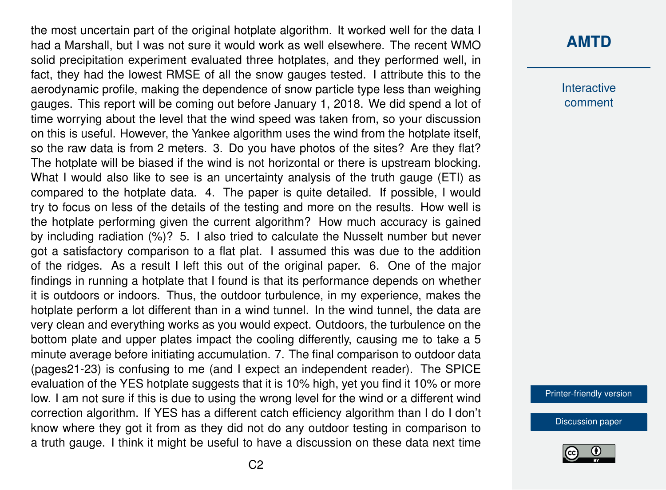the most uncertain part of the original hotplate algorithm. It worked well for the data I had a Marshall, but I was not sure it would work as well elsewhere. The recent WMO solid precipitation experiment evaluated three hotplates, and they performed well, in fact, they had the lowest RMSE of all the snow gauges tested. I attribute this to the aerodynamic profile, making the dependence of snow particle type less than weighing gauges. This report will be coming out before January 1, 2018. We did spend a lot of time worrying about the level that the wind speed was taken from, so your discussion on this is useful. However, the Yankee algorithm uses the wind from the hotplate itself, so the raw data is from 2 meters. 3. Do you have photos of the sites? Are they flat? The hotplate will be biased if the wind is not horizontal or there is upstream blocking. What I would also like to see is an uncertainty analysis of the truth gauge (ETI) as compared to the hotplate data. 4. The paper is quite detailed. If possible, I would try to focus on less of the details of the testing and more on the results. How well is the hotplate performing given the current algorithm? How much accuracy is gained by including radiation (%)? 5. I also tried to calculate the Nusselt number but never got a satisfactory comparison to a flat plat. I assumed this was due to the addition of the ridges. As a result I left this out of the original paper. 6. One of the major findings in running a hotplate that I found is that its performance depends on whether it is outdoors or indoors. Thus, the outdoor turbulence, in my experience, makes the hotplate perform a lot different than in a wind tunnel. In the wind tunnel, the data are very clean and everything works as you would expect. Outdoors, the turbulence on the bottom plate and upper plates impact the cooling differently, causing me to take a 5 minute average before initiating accumulation. 7. The final comparison to outdoor data (pages21-23) is confusing to me (and I expect an independent reader). The SPICE evaluation of the YES hotplate suggests that it is 10% high, yet you find it 10% or more low. I am not sure if this is due to using the wrong level for the wind or a different wind correction algorithm. If YES has a different catch efficiency algorithm than I do I don't know where they got it from as they did not do any outdoor testing in comparison to a truth gauge. I think it might be useful to have a discussion on these data next time

## **[AMTD](https://www.atmos-meas-tech-discuss.net/)**

**Interactive** comment

[Printer-friendly version](https://www.atmos-meas-tech-discuss.net/amt-2017-234/amt-2017-234-SC1-print.pdf)

[Discussion paper](https://www.atmos-meas-tech-discuss.net/amt-2017-234)